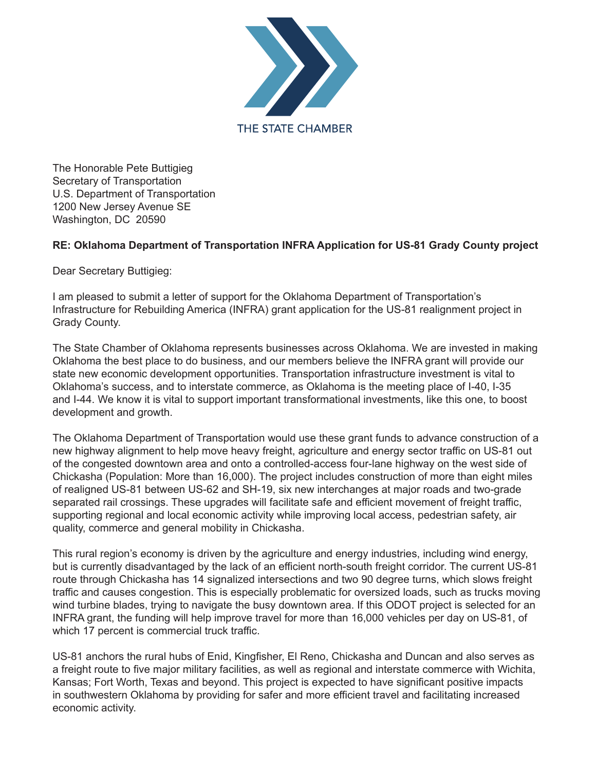

The Honorable Pete Buttigieg Secretary of Transportation U.S. Department of Transportation 1200 New Jersey Avenue SE Washington, DC 20590

## **RE: Oklahoma Department of Transportation INFRA Application for US-81 Grady County project**

Dear Secretary Buttigieg:

I am pleased to submit a letter of support for the Oklahoma Department of Transportation's Infrastructure for Rebuilding America (INFRA) grant application for the US-81 realignment project in Grady County.

The State Chamber of Oklahoma represents businesses across Oklahoma. We are invested in making Oklahoma the best place to do business, and our members believe the INFRA grant will provide our state new economic development opportunities. Transportation infrastructure investment is vital to Oklahoma's success, and to interstate commerce, as Oklahoma is the meeting place of I-40, I-35 and I-44. We know it is vital to support important transformational investments, like this one, to boost development and growth.

The Oklahoma Department of Transportation would use these grant funds to advance construction of a new highway alignment to help move heavy freight, agriculture and energy sector traffic on US-81 out of the congested downtown area and onto a controlled-access four-lane highway on the west side of Chickasha (Population: More than 16,000). The project includes construction of more than eight miles of realigned US-81 between US-62 and SH-19, six new interchanges at major roads and two-grade separated rail crossings. These upgrades will facilitate safe and efficient movement of freight traffic, supporting regional and local economic activity while improving local access, pedestrian safety, air quality, commerce and general mobility in Chickasha.

This rural region's economy is driven by the agriculture and energy industries, including wind energy, but is currently disadvantaged by the lack of an efficient north-south freight corridor. The current US-81 route through Chickasha has 14 signalized intersections and two 90 degree turns, which slows freight traffic and causes congestion. This is especially problematic for oversized loads, such as trucks moving wind turbine blades, trying to navigate the busy downtown area. If this ODOT project is selected for an INFRA grant, the funding will help improve travel for more than 16,000 vehicles per day on US-81, of which 17 percent is commercial truck traffic.

US-81 anchors the rural hubs of Enid, Kingfisher, El Reno, Chickasha and Duncan and also serves as a freight route to five major military facilities, as well as regional and interstate commerce with Wichita, Kansas; Fort Worth, Texas and beyond. This project is expected to have significant positive impacts in southwestern Oklahoma by providing for safer and more efficient travel and facilitating increased economic activity.